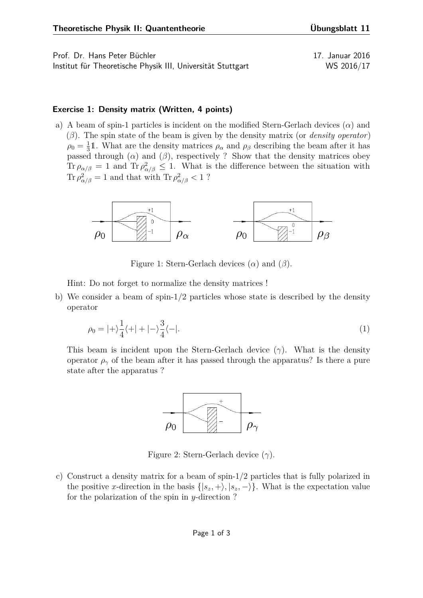Prof. Dr. Hans Peter Büchler 17. Januar 2016 Institut für Theoretische Physik III, Universität Stuttgart WS 2016/17

## **Exercise 1: Density matrix (Written, 4 points)**

a) A beam of spin-1 particles is incident on the modified Stern-Gerlach devices (*α*) and (*β*). The spin state of the beam is given by the density matrix (or *density operator*)  $\rho_0 = \frac{1}{3}$  $\frac{1}{3}$ 1. What are the density matrices  $\rho_{\alpha}$  and  $\rho_{\beta}$  describing the beam after it has passed through ( $\alpha$ ) and ( $\beta$ ), respectively ? Show that the density matrices obey Tr  $\rho_{\alpha/\beta} = 1$  and Tr  $\rho_{\alpha/\beta}^2 \leq 1$ . What is the difference between the situation with Tr  $\rho_{\alpha/\beta}^2 = 1$  and that with Tr  $\rho_{\alpha/\beta}^2 < 1$ ?



Figure 1: Stern-Gerlach devices (*α*) and (*β*).

Hint: Do not forget to normalize the density matrices !

b) We consider a beam of spin-1/2 particles whose state is described by the density operator

$$
\rho_0 = |+\rangle \frac{1}{4} \langle +| + |-\rangle \frac{3}{4} \langle -|.\tag{1}
$$

This beam is incident upon the Stern-Gerlach device (*γ*). What is the density operator  $\rho_{\gamma}$  of the beam after it has passed through the apparatus? Is there a pure state after the apparatus ?



Figure 2: Stern-Gerlach device (*γ*).

c) Construct a density matrix for a beam of spin-1/2 particles that is fully polarized in the positive *x*-direction in the basis  $\{|s_z, +\rangle, |s_z, -\rangle\}$ . What is the expectation value for the polarization of the spin in *y*-direction ?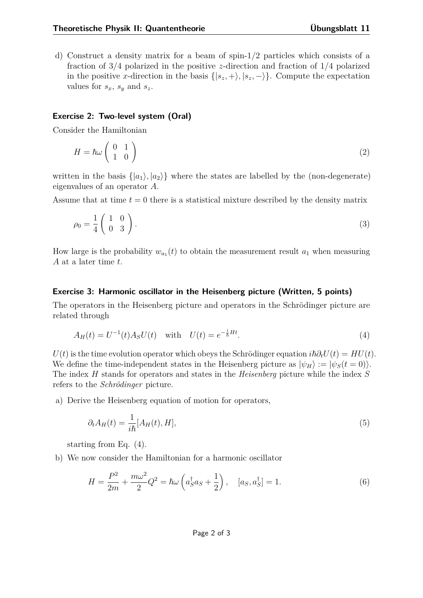d) Construct a density matrix for a beam of spin-1/2 particles which consists of a fraction of 3/4 polarized in the positive *z*-direction and fraction of 1/4 polarized in the positive *x*-direction in the basis  $\{|s_z, +\rangle, |s_z, -\rangle\}$ . Compute the expectation values for  $s_x$ ,  $s_y$  and  $s_z$ .

## **Exercise 2: Two-level system (Oral)**

Consider the Hamiltonian

$$
H = \hbar\omega \left(\begin{array}{cc} 0 & 1\\ 1 & 0 \end{array}\right) \tag{2}
$$

written in the basis  $\{|a_1\rangle, |a_2\rangle\}$  where the states are labelled by the (non-degenerate) eigenvalues of an operator *A*.

Assume that at time  $t = 0$  there is a statistical mixture described by the density matrix

$$
\rho_0 = \frac{1}{4} \left( \begin{array}{cc} 1 & 0 \\ 0 & 3 \end{array} \right). \tag{3}
$$

How large is the probability  $w_{a_1}(t)$  to obtain the measurement result  $a_1$  when measuring *A* at a later time *t*.

## **Exercise 3: Harmonic oscillator in the Heisenberg picture (Written, 5 points)**

The operators in the Heisenberg picture and operators in the Schrödinger picture are related through

<span id="page-1-0"></span>
$$
A_H(t) = U^{-1}(t)A_S U(t) \text{ with } U(t) = e^{-\frac{i}{\hbar}Ht}.
$$
 (4)

 $U(t)$  is the time evolution operator which obeys the Schrödinger equation  $i\hbar \partial_t U(t) = H U(t)$ . We define the time-independent states in the Heisenberg picture as  $|\psi_H\rangle := |\psi_S(t=0)\rangle$ . The index *H* stands for operators and states in the *Heisenberg* picture while the index *S* refers to the *Schrödinger* picture.

a) Derive the Heisenberg equation of motion for operators,

<span id="page-1-1"></span>
$$
\partial_t A_H(t) = \frac{1}{i\hbar} [A_H(t), H], \tag{5}
$$

starting from Eq. [\(4\)](#page-1-0).

b) We now consider the Hamiltonian for a harmonic oscillator

$$
H = \frac{P^2}{2m} + \frac{m\omega^2}{2}Q^2 = \hbar\omega\left(a_S^{\dagger}a_S + \frac{1}{2}\right), \quad [a_S, a_S^{\dagger}] = 1.
$$
 (6)